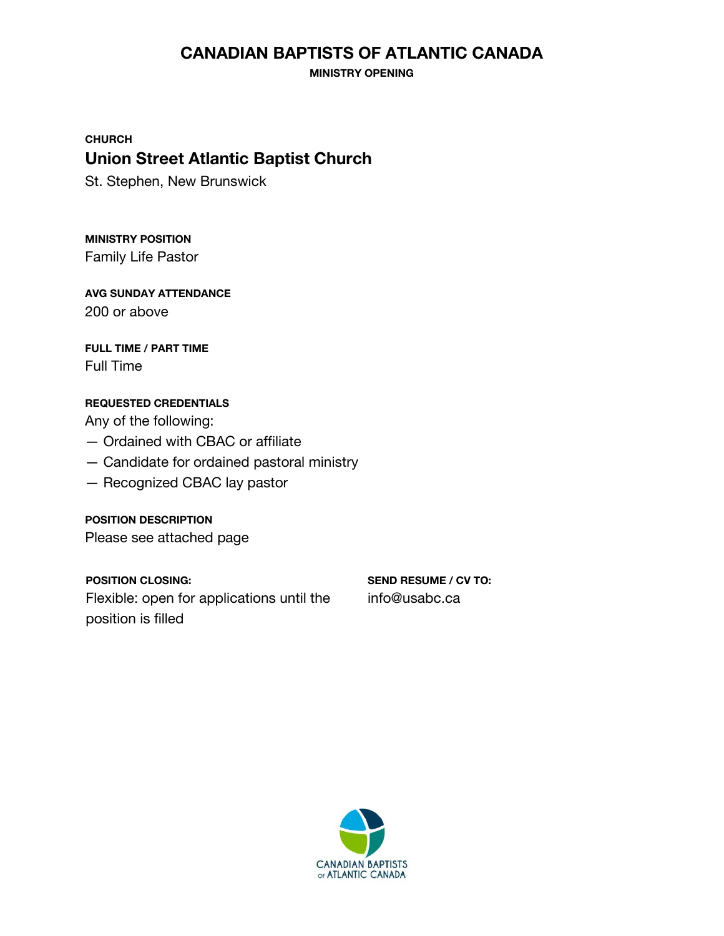# **CANADIAN BAPTISTS OF ATLANTIC CANADA**

**MINISTRY OPENING**

**CHURCH Union Street Atlantic Baptist Church**

St. Stephen, New Brunswick

**MINISTRY POSITION** Family Life Pastor

**AVG SUNDAY ATTENDANCE** 200 or above

**FULL TIME / PART TIME** Full Time

### **REQUESTED CREDENTIALS**

Any of the following:

- Ordained with CBAC or affiliate
- Candidate for ordained pastoral ministry
- Recognized CBAC lay pastor

**POSITION DESCRIPTION** Please see attached page

**POSITION CLOSING:** Flexible: open for applications until the position is filled

**SEND RESUME / CV TO:** info@usabc.ca